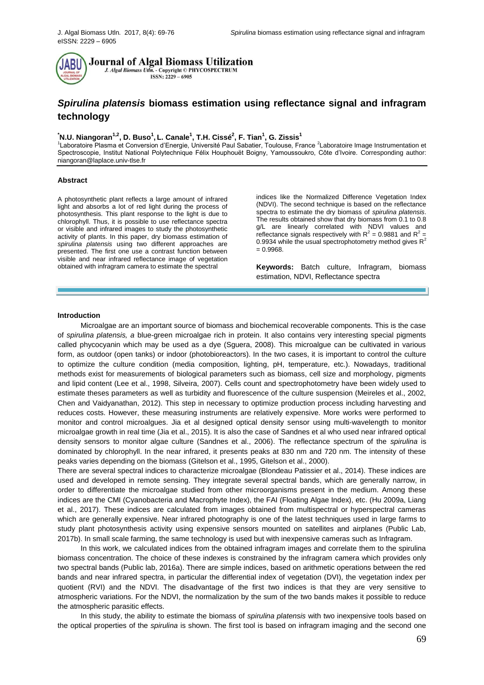

J. Algal Biomass Utln. - Copyright © PHYCOSPECTRUM

# *Spirulina platensis* **biomass estimation using reflectance signal and infragram technology**

**<sup>\*</sup>N.U. Niangoran<sup>1,2</sup>, D. Buso<sup>1</sup>, L. Canale<sup>1</sup>, T.H. Cissé<sup>2</sup>, F. Tian<sup>1</sup>, G. Zissis<sup>1</sup><br><sup>1</sup>Laboratoire Plasma et Conversion d'Energie, Université Paul Sabatier, Toulouse, France <sup>2</sup>Laboratoire Image Instrumentation et** Spectroscopie, Institut National Polytechnique Félix Houphouët Boigny, Yamoussoukro, Côte d'Ivoire. Corresponding author: [niangoran@laplace.univ-tlse.fr](mailto:niangoran@laplace.univ-tlse.fr)

#### **Abstract**

A photosynthetic plant reflects a large amount of infrared light and absorbs a lot of red light during the process of photosynthesis. This plant response to the light is due to chlorophyll. Thus, it is possible to use reflectance spectra or visible and infrared images to study the photosynthetic activity of plants. In this paper, dry biomass estimation of *spirulina platensis* using two different approaches are presented. The first one use a contrast function between visible and near infrared reflectance image of vegetation obtained with infragram camera to estimate the spectral

indices like the Normalized Difference Vegetation Index (NDVI). The second technique is based on the reflectance spectra to estimate the dry biomass of *spirulina platensis*. The results obtained show that dry biomass from 0.1 to 0.8 g/L are linearly correlated with NDVI values and reflectance signals respectively with  $R^2 = 0.9881$  and  $R^2 =$ 0.9934 while the usual spectrophotometry method gives  $R^2$  $= 0.9968.$ 

**Keywords:** Batch culture, Infragram, biomass estimation, NDVI, Reflectance spectra

#### **Introduction**

Microalgae are an important source of biomass and biochemical recoverable components. This is the case of *spirulina platensis, a* blue-green microalgae rich in protein. It also contains very interesting special pigments called phycocyanin which may be used as a dye (Sguera, 2008). This microalgue can be cultivated in various form, as outdoor (open tanks) or indoor (photobioreactors). In the two cases, it is important to control the culture to optimize the culture condition (media composition, lighting, pH, temperature, etc.). Nowadays, traditional methods exist for measurements of biological parameters such as biomass, cell size and morphology, pigments and lipid content (Lee et al., 1998, Silveira, 2007). Cells count and spectrophotometry have been widely used to estimate theses parameters as well as turbidity and fluorescence of the culture suspension (Meireles et al., 2002, Chen and Vaidyanathan, 2012). This step in necessary to optimize production process including harvesting and reduces costs. However, these measuring instruments are relatively expensive. More works were performed to monitor and control microalgues. Jia et al designed optical density sensor using multi-wavelength to monitor microalgae growth in real time (Jia et al., 2015). It is also the case of Sandnes et al who used near infrared optical density sensors to monitor algae culture (Sandnes et al., 2006). The reflectance spectrum of the *spirulina* is dominated by chlorophyll. In the near infrared, it presents peaks at 830 nm and 720 nm. The intensity of these peaks varies depending on the biomass (Gitelson et al., 1995, Gitelson et al., 2000).

There are several spectral indices to characterize microalgae (Blondeau Patissier et al., 2014). These indices are used and developed in remote sensing. They integrate several spectral bands, which are generally narrow, in order to differentiate the microalgae studied from other microorganisms present in the medium. Among these indices are the CMI (Cyanobacteria and Macrophyte Index), the FAI (Floating Algae Index), etc. (Hu 2009a, Liang et al., 2017). These indices are calculated from images obtained from multispectral or hyperspectral cameras which are generally expensive. Near infrared photography is one of the latest techniques used in large farms to study plant photosynthesis activity using expensive sensors mounted on satellites and airplanes (Public Lab, 2017b). In small scale farming, the same technology is used but with inexpensive cameras such as Infragram.

In this work, we calculated indices from the obtained infragram images and correlate them to the spirulina biomass concentration. The choice of these indexes is constrained by the infragram camera which provides only two spectral bands (Public lab, 2016a). There are simple indices, based on arithmetic operations between the red bands and near infrared spectra, in particular the differential index of vegetation (DVI), the vegetation index per quotient (RVI) and the NDVI. The disadvantage of the first two indices is that they are very sensitive to atmospheric variations. For the NDVI, the normalization by the sum of the two bands makes it possible to reduce the atmospheric parasitic effects.

In this study, the ability to estimate the biomass of *spirulina platensis* with two inexpensive tools based on the optical properties of the *spirulina* is shown. The first tool is based on infragram imaging and the second one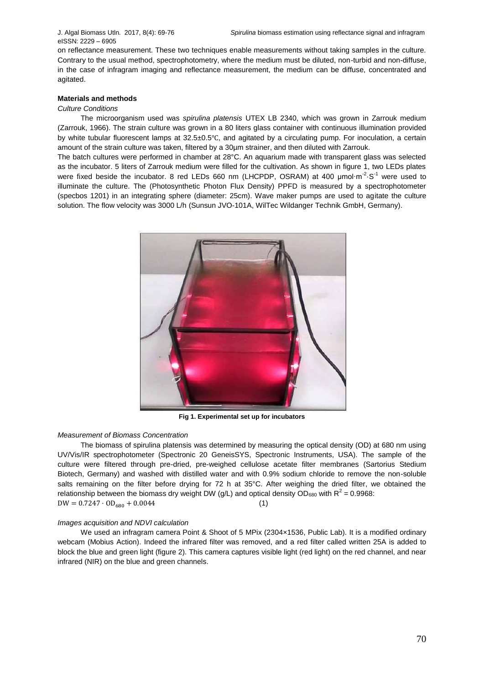on reflectance measurement. These two techniques enable measurements without taking samples in the culture. Contrary to the usual method, spectrophotometry, where the medium must be diluted, non-turbid and non-diffuse, in the case of infragram imaging and reflectance measurement, the medium can be diffuse, concentrated and agitated.

## **Materials and methods**

## *Culture Conditions*

The microorganism used was *spirulina platensis* UTEX LB 2340, which was grown in Zarrouk medium (Zarrouk, 1966). The strain culture was grown in a 80 liters glass container with continuous illumination provided by white tubular fluorescent lamps at 32.5±0.5℃, and agitated by a circulating pump. For inoculation, a certain amount of the strain culture was taken, filtered by a 30µm strainer, and then diluted with Zarrouk.

The batch cultures were performed in chamber at 28°C. An aquarium made with transparent glass was selected as the incubator. 5 liters of Zarrouk medium were filled for the cultivation. As shown in figure 1, two LEDs plates were fixed beside the incubator. 8 red LEDs 660 nm (LHCPDP, OSRAM) at 400 µmol·m<sup>-2</sup>·S<sup>-1</sup> were used to illuminate the culture. The (Photosynthetic Photon Flux Density) PPFD is measured by a spectrophotometer (specbos 1201) in an integrating sphere (diameter: 25cm). Wave maker pumps are used to agitate the culture solution. The flow velocity was 3000 L/h (Sunsun JVO-101A, WilTec Wildanger Technik GmbH, Germany).



**Fig 1. Experimental set up for incubators**

#### *Measurement of Biomass Concentration*

The biomass of spirulina platensis was determined by measuring the optical density (OD) at 680 nm using UV/Vis/IR spectrophotometer (Spectronic 20 GeneisSYS, Spectronic Instruments, USA). The sample of the culture were filtered through pre-dried, pre-weighed cellulose acetate filter membranes (Sartorius Stedium Biotech, Germany) and washed with distilled water and with 0.9% sodium chloride to remove the non-soluble salts remaining on the filter before drying for 72 h at 35°C. After weighing the dried filter, we obtained the relationship between the biomass dry weight DW (g/L) and optical density OD<sub>680</sub> with R<sup>2</sup> = 0.9968:  $DW = 0.7247 \cdot OD_{680} + 0.0044$  (1)

## *Images acquisition and NDVI calculation*

We used an infragram camera Point & Shoot of 5 MPix (2304×1536, Public Lab). It is a modified ordinary webcam (Mobius Action). Indeed the infrared filter was removed, and a red filter called written 25A is added to block the blue and green light (figure 2). This camera captures visible light (red light) on the red channel, and near infrared (NIR) on the blue and green channels.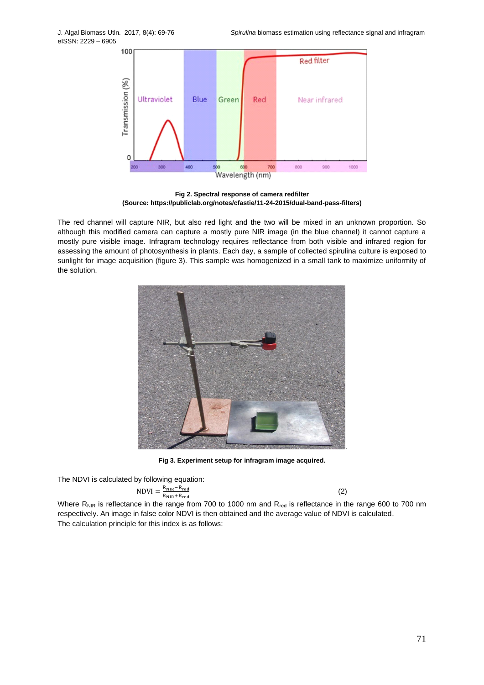eISSN: 2229 – 6905



**Fig 2. Spectral response of camera redfilter (Source: [https://publiclab.org/notes/cfastie/11-24-2015/dual-band-pass-filters\)](https://publiclab.org/notes/cfastie/11-24-2015/dual-band-pass-filters)**

The red channel will capture NIR, but also red light and the two will be mixed in an unknown proportion. So although this modified camera can capture a mostly pure NIR image (in the blue channel) it cannot capture a mostly pure visible image. Infragram technology requires reflectance from both visible and infrared region for assessing the amount of photosynthesis in plants. Each day, a sample of collected spirulina culture is exposed to sunlight for image acquisition (figure 3). This sample was homogenized in a small tank to maximize uniformity of the solution.



**Fig 3. Experiment setup for infragram image acquired.**

The NDVI is calculated by following equation:

$$
NDVI = \frac{R_{NIR} - R_{red}}{R_{NIR} + R_{red}}
$$

(2)

Where  $R_{NIR}$  is reflectance in the range from 700 to 1000 nm and  $R_{red}$  is reflectance in the range 600 to 700 nm respectively. An image in false color NDVI is then obtained and the average value of NDVI is calculated. The calculation principle for this index is as follows: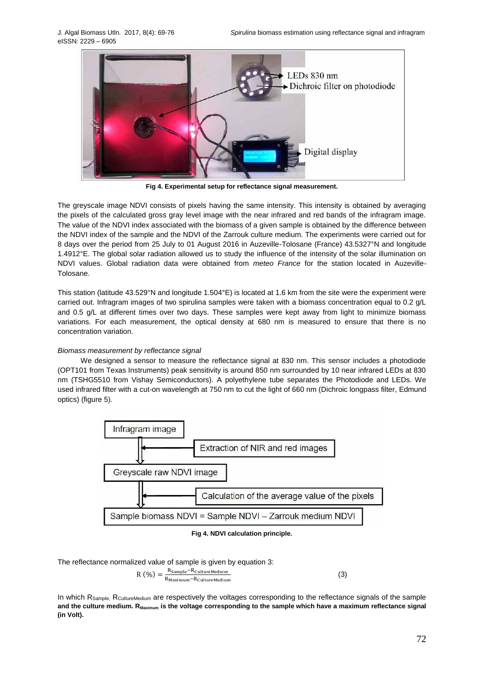

**Fig 4. Experimental setup for reflectance signal measurement.**

The greyscale image NDVI consists of pixels having the same intensity. This intensity is obtained by averaging the pixels of the calculated gross gray level image with the near infrared and red bands of the infragram image. The value of the NDVI index associated with the biomass of a given sample is obtained by the difference between the NDVI index of the sample and the NDVI of the Zarrouk culture medium. The experiments were carried out for 8 days over the period from 25 July to 01 August 2016 in Auzeville-Tolosane (France) 43.5327°N and longitude 1.4912°E. The global solar radiation allowed us to study the influence of the intensity of the solar illumination on NDVI values. Global radiation data were obtained from *meteo France* for the station located in Auzeville-Tolosane.

This station (latitude 43.529°N and longitude 1.504°E) is located at 1.6 km from the site were the experiment were carried out. Infragram images of two spirulina samples were taken with a biomass concentration equal to 0.2 g/L and 0.5 g/L at different times over two days. These samples were kept away from light to minimize biomass variations. For each measurement, the optical density at 680 nm is measured to ensure that there is no concentration variation.

## *Biomass measurement by reflectance signal*

We designed a sensor to measure the reflectance signal at 830 nm. This sensor includes a photodiode (OPT101 from Texas Instruments) peak sensitivity is around 850 nm surrounded by 10 near infrared LEDs at 830 nm (TSHG5510 from Vishay Semiconductors). A polyethylene tube separates the Photodiode and LEDs. We used infrared filter with a cut-on wavelength at 750 nm to cut the light of 660 nm (Dichroic longpass filter, Edmund optics) (figure 5).



**Fig 4. NDVI calculation principle.**

The reflectance normalized value of sample is given by equation 3:

$$
R(90) = \frac{R_{sample} - R_{\text{CultureMedium}}}{R_{\text{Maximum}} - R_{\text{CultureMedium}}}
$$
\n(3)

In which R<sub>Sample</sub>, R<sub>CultureMedium</sub> are respectively the voltages corresponding to the reflectance signals of the sample **and the culture medium. RMaximum is the voltage corresponding to the sample which have a maximum reflectance signal (in Volt).**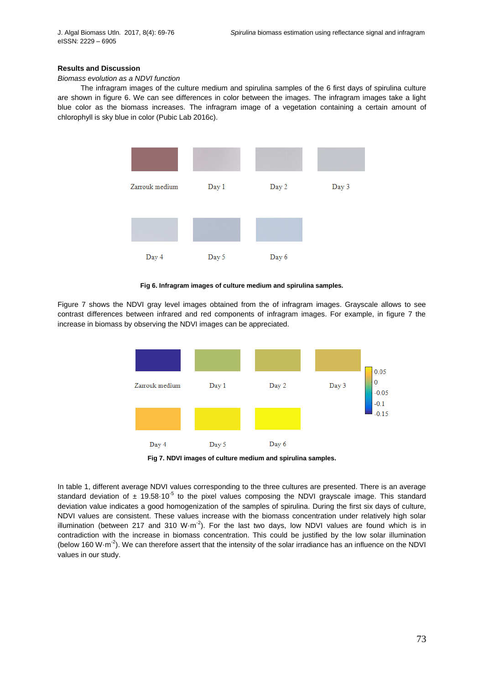# **Results and Discussion**

# *Biomass evolution as a NDVI function*

The infragram images of the culture medium and spirulina samples of the 6 first days of spirulina culture are shown in figure 6. We can see differences in color between the images. The infragram images take a light blue color as the biomass increases. The infragram image of a vegetation containing a certain amount of chlorophyll is sky blue in color (Pubic Lab 2016c).



**Fig 6. Infragram images of culture medium and spirulina samples.**

Figure 7 shows the NDVI gray level images obtained from the of infragram images. Grayscale allows to see contrast differences between infrared and red components of infragram images. For example, in figure 7 the increase in biomass by observing the NDVI images can be appreciated.



**Fig 7. NDVI images of culture medium and spirulina samples.**

In table 1, different average NDVI values corresponding to the three cultures are presented. There is an average standard deviation of  $\pm$  19.58 $\cdot$ 10<sup>-5</sup> to the pixel values composing the NDVI grayscale image. This standard deviation value indicates a good homogenization of the samples of spirulina. During the first six days of culture, NDVI values are consistent. These values increase with the biomass concentration under relatively high solar illumination (between 217 and 310 W $\cdot$ m<sup>-2</sup>). For the last two days, low NDVI values are found which is in contradiction with the increase in biomass concentration. This could be justified by the low solar illumination (below 160 W·m<sup>-2</sup>). We can therefore assert that the intensity of the solar irradiance has an influence on the NDVI values in our study.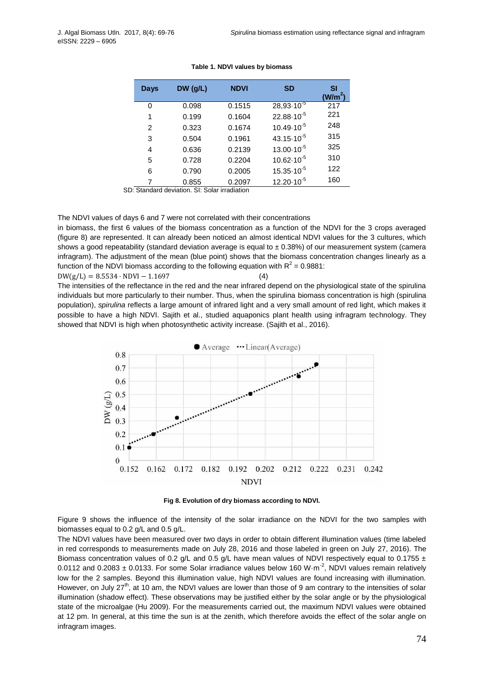| <b>Days</b>   | $DW$ (g/L) | <b>NDVI</b> | <b>SD</b>             | <b>SI</b><br>(W/m <sup>2</sup> ) |
|---------------|------------|-------------|-----------------------|----------------------------------|
| 0             | 0.098      | 0.1515      | $28,93.10^{5}$        | 217                              |
| 1             | 0.199      | 0.1604      | $22.88 \cdot 10^{-5}$ | 221                              |
| $\mathcal{P}$ | 0.323      | 0.1674      | $10.49 \cdot 10^{-5}$ | 248                              |
| 3             | 0.504      | 0.1961      | $43.15 \cdot 10^{-5}$ | 315                              |
| 4             | 0.636      | 0.2139      | $13.00 \cdot 10^{-5}$ | 325                              |
| 5             | 0.728      | 0.2204      | $10.62 \cdot 10^{-5}$ | 310                              |
| 6             | 0.790      | 0.2005      | $15.35 \cdot 10^{-5}$ | 122                              |
| 7             | 0.855      | 0.2097      | $12.20 \cdot 10^{-5}$ | 160                              |

## **Table 1. NDVI values by biomass**

SD: Standard deviation. SI: Solar irradiation

The NDVI values of days 6 and 7 were not correlated with their concentrations

in biomass, the first 6 values of the biomass concentration as a function of the NDVI for the 3 crops averaged (figure 8) are represented. It can already been noticed an almost identical NDVI values for the 3 cultures, which shows a good repeatability (standard deviation average is equal to  $\pm$  0.38%) of our measurement system (camera infragram). The adjustment of the mean (blue point) shows that the biomass concentration changes linearly as a function of the NDVI biomass according to the following equation with  $R^2$  = 0.9881:

$$
DW(g/L) = 8.5534 \cdot NDVI - 1.1697 \tag{4}
$$

The intensities of the reflectance in the red and the near infrared depend on the physiological state of the spirulina individuals but more particularly to their number. Thus, when the spirulina biomass concentration is high (spirulina population), *spirulina* reflects a large amount of infrared light and a very small amount of red light, which makes it possible to have a high NDVI. Sajith et al., studied aquaponics plant health using infragram technology. They showed that NDVI is high when photosynthetic activity increase. (Sajith et al., 2016).



**Fig 8. Evolution of dry biomass according to NDVI.**

Figure 9 shows the influence of the intensity of the solar irradiance on the NDVI for the two samples with biomasses equal to 0.2 g/L and 0.5 g/L.

The NDVI values have been measured over two days in order to obtain different illumination values (time labeled in red corresponds to measurements made on July 28, 2016 and those labeled in green on July 27, 2016). The Biomass concentration values of 0.2 g/L and 0.5 g/L have mean values of NDVI respectively equal to 0.1755  $\pm$ 0.0112 and 0.2083  $\pm$  0.0133. For some Solar irradiance values below 160 W·m<sup>-2</sup>, NDVI values remain relatively low for the 2 samples. Beyond this illumination value, high NDVI values are found increasing with illumination. However, on July 27<sup>th</sup>, at 10 am, the NDVI values are lower than those of 9 am contrary to the intensities of solar illumination (shadow effect). These observations may be justified either by the solar angle or by the physiological state of the microalgae (Hu 2009). For the measurements carried out, the maximum NDVI values were obtained at 12 pm. In general, at this time the sun is at the zenith, which therefore avoids the effect of the solar angle on infragram images.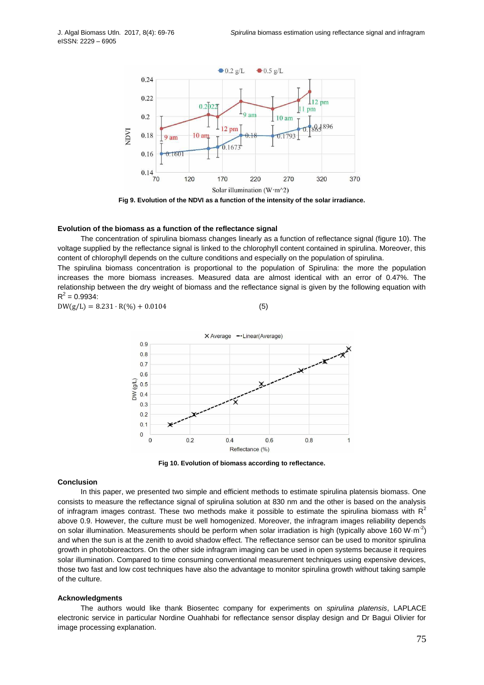

**Fig 9. Evolution of the NDVI as a function of the intensity of the solar irradiance.**

# **Evolution of the biomass as a function of the reflectance signal**

The concentration of spirulina biomass changes linearly as a function of reflectance signal (figure 10). The voltage supplied by the reflectance signal is linked to the chlorophyll content contained in spirulina. Moreover, this content of chlorophyll depends on the culture conditions and especially on the population of spirulina.

The spirulina biomass concentration is proportional to the population of Spirulina: the more the population increases the more biomass increases. Measured data are almost identical with an error of 0.47%. The relationship between the dry weight of biomass and the reflectance signal is given by the following equation with  $R^2$  = 0.9934:

 $DW(g/L) = 8.231 \cdot R(\%) + 0.0104$  (5)



**Fig 10. Evolution of biomass according to reflectance.**

## **Conclusion**

In this paper, we presented two simple and efficient methods to estimate spirulina platensis biomass. One consists to measure the reflectance signal of spirulina solution at 830 nm and the other is based on the analysis of infragram images contrast. These two methods make it possible to estimate the spirulina biomass with  $R^2$ above 0.9. However, the culture must be well homogenized. Moreover, the infragram images reliability depends on solar illumination. Measurements should be perform when solar irradiation is high (typically above 160 W·m<sup>-2</sup>) and when the sun is at the zenith to avoid shadow effect. The reflectance sensor can be used to monitor spirulina growth in photobioreactors. On the other side infragram imaging can be used in open systems because it requires solar illumination. Compared to time consuming conventional measurement techniques using expensive devices, those two fast and low cost techniques have also the advantage to monitor spirulina growth without taking sample of the culture.

#### **Acknowledgments**

The authors would like thank Biosentec company for experiments on *spirulina platensis*, LAPLACE electronic service in particular Nordine Ouahhabi for reflectance sensor display design and Dr Bagui Olivier for image processing explanation.